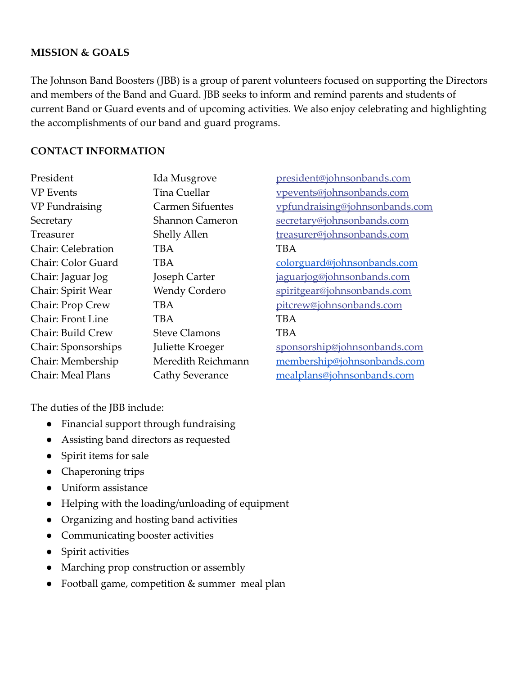## **MISSION & GOALS**

The Johnson Band Boosters (JBB) is a group of parent volunteers focused on supporting the Directors and members of the Band and Guard. JBB seeks to inform and remind parents and students of current Band or Guard events and of upcoming activities. We also enjoy celebrating and highlighting the accomplishments of our band and guard programs.

### **CONTACT INFORMATION**

| President           | Ida Musgrove            | president@johnsonbands.com     |
|---------------------|-------------------------|--------------------------------|
| <b>VP</b> Events    | <b>Tina Cuellar</b>     | vpevents@johnsonbands.com      |
| VP Fundraising      | <b>Carmen Sifuentes</b> | vpfundraising@johnsonbands.com |
| Secretary           | <b>Shannon Cameron</b>  | secretary@johnsonbands.com     |
| Treasurer           | <b>Shelly Allen</b>     | treasurer@johnsonbands.com     |
| Chair: Celebration  | TBA                     | TBA                            |
| Chair: Color Guard  | TBA                     | colorguard@johnsonbands.com    |
| Chair: Jaguar Jog   | Joseph Carter           | jaguarjog@johnsonbands.com     |
| Chair: Spirit Wear  | <b>Wendy Cordero</b>    | spiritgear@johnsonbands.com    |
| Chair: Prop Crew    | TBA                     | pitcrew@johnsonbands.com       |
| Chair: Front Line   | <b>TBA</b>              | <b>TBA</b>                     |
| Chair: Build Crew   | <b>Steve Clamons</b>    | <b>TBA</b>                     |
| Chair: Sponsorships | Juliette Kroeger        | sponsorship@johnsonbands.com   |
| Chair: Membership   | Meredith Reichmann      | membership@johnsonbands.com    |
| Chair: Meal Plans   | Cathy Severance         | mealplans@johnsonbands.com     |

The duties of the JBB include:

- Financial support through fundraising
- Assisting band directors as requested
- Spirit items for sale
- Chaperoning trips
- Uniform assistance
- Helping with the loading/unloading of equipment
- Organizing and hosting band activities
- Communicating booster activities
- Spirit activities
- Marching prop construction or assembly
- Football game, competition & summer meal plan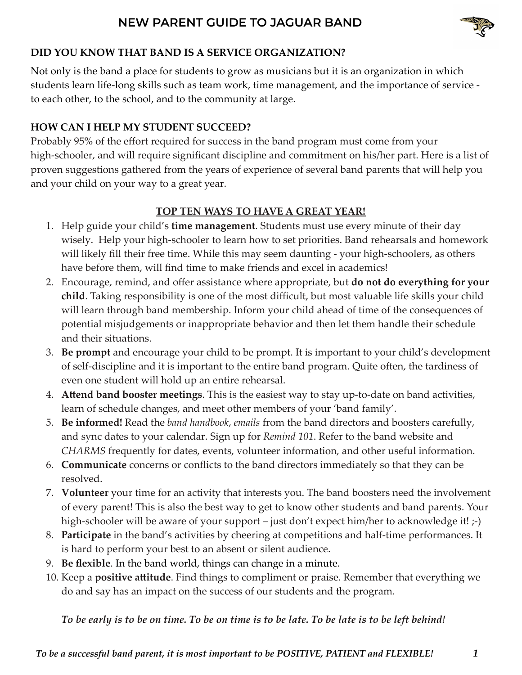

## **DID YOU KNOW THAT BAND IS A SERVICE ORGANIZATION?**

Not only is the band a place for students to grow as musicians but it is an organization in which students learn life-long skills such as team work, time management, and the importance of service to each other, to the school, and to the community at large.

## **HOW CAN I HELP MY STUDENT SUCCEED?**

Probably 95% of the effort required for success in the band program must come from your high-schooler, and will require significant discipline and commitment on his/her part. Here is a list of proven suggestions gathered from the years of experience of several band parents that will help you and your child on your way to a great year.

# **TOP TEN WAYS TO HAVE A GREAT YEAR!**

- 1. Help guide your child's **time management**. Students must use every minute of their day wisely. Help your high-schooler to learn how to set priorities. Band rehearsals and homework will likely fill their free time. While this may seem daunting - your high-schoolers, as others have before them, will find time to make friends and excel in academics!
- 2. Encourage, remind, and offer assistance where appropriate, but **do not do everything for your child**. Taking responsibility is one of the most difficult, but most valuable life skills your child will learn through band membership. Inform your child ahead of time of the consequences of potential misjudgements or inappropriate behavior and then let them handle their schedule and their situations.
- 3. **Be prompt** and encourage your child to be prompt. It is important to your child's development of self-discipline and it is important to the entire band program. Quite often, the tardiness of even one student will hold up an entire rehearsal.
- 4. **Attend band booster meetings**. This is the easiest way to stay up-to-date on band activities, learn of schedule changes, and meet other members of your 'band family'.
- 5. **Be informed!** Read the *band handbook*, *emails* from the band directors and boosters carefully, and sync dates to your calendar. Sign up for *Remind 101*. Refer to the band website and *CHARMS* frequently for dates, events, volunteer information, and other useful information.
- 6. **Communicate** concerns or conflicts to the band directors immediately so that they can be resolved.
- 7. **Volunteer** your time for an activity that interests you. The band boosters need the involvement of every parent! This is also the best way to get to know other students and band parents. Your high-schooler will be aware of your support – just don't expect him/her to acknowledge it! ;-)
- 8. **Participate** in the band's activities by cheering at competitions and half-time performances. It is hard to perform your best to an absent or silent audience.
- 9. **Be flexible**. In the band world, things can change in a minute.
- 10. Keep a **positive attitude**. Find things to compliment or praise. Remember that everything we do and say has an impact on the success of our students and the program.

*To be early is to be on time. To be on time is to be late. To be late is to be left behind!*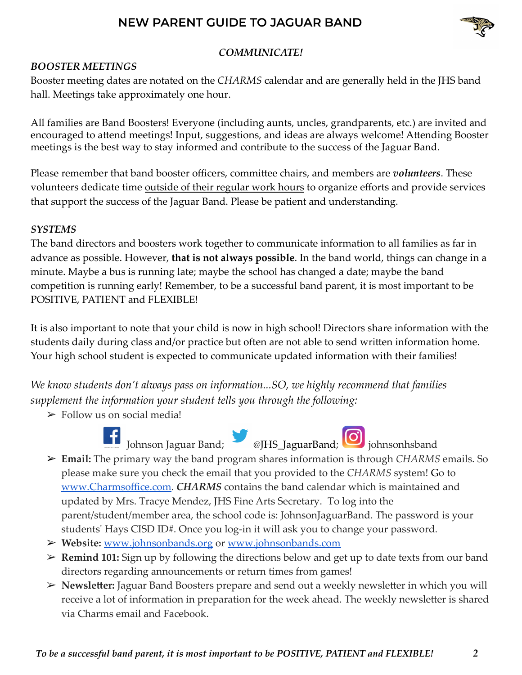

## *COMMUNICATE!*

### *BOOSTER MEETINGS*

Booster meeting dates are notated on the *CHARMS* calendar and are generally held in the JHS band hall. Meetings take approximately one hour.

All families are Band Boosters! Everyone (including aunts, uncles, grandparents, etc.) are invited and encouraged to attend meetings! Input, suggestions, and ideas are always welcome! Attending Booster meetings is the best way to stay informed and contribute to the success of the Jaguar Band.

Please remember that band booster officers, committee chairs, and members are *volunteers*. These volunteers dedicate time outside of their regular work hours to organize efforts and provide services that support the success of the Jaguar Band. Please be patient and understanding.

#### *SYSTEMS*

The band directors and boosters work together to communicate information to all families as far in advance as possible. However, **that is not always possible**. In the band world, things can change in a minute. Maybe a bus is running late; maybe the school has changed a date; maybe the band competition is running early! Remember, to be a successful band parent, it is most important to be POSITIVE, PATIENT and FLEXIBLE!

It is also important to note that your child is now in high school! Directors share information with the students daily during class and/or practice but often are not able to send written information home. Your high school student is expected to communicate updated information with their families!

*We know students don't always pass on information...SO, we highly recommend that families supplement the information your student tells you through the following:*

 $\triangleright$  Follow us on social media!





Johnson Jaguar Band; @JHS\_JaguarBand; johnsonhsband ➢ **Email:** The primary way the band program shares information is through *CHARMS* emails. So please make sure you check the email that you provided to the *CHARMS* system! Go to [www.Charmsoffice.com](http://www.charmsoffice.com/). *CHARMS* contains the band calendar which is maintained and updated by Mrs. Tracye Mendez, JHS Fine Arts Secretary. To log into the parent/student/member area, the school code is: JohnsonJaguarBand. The password is your

students' Hays CISD ID#. Once you log-in it will ask you to change your password.

- ➢ **Website:** [www.johnsonbands.org](http://www.johnsonbands.org) or [www.johnsonbands.com](http://www.johnsonbands.com)
- ➢ **Remind 101:** Sign up by following the directions below and get up to date texts from our band directors regarding announcements or return times from games!
- ➢ **Newsletter:** Jaguar Band Boosters prepare and send out a weekly newsletter in which you will receive a lot of information in preparation for the week ahead. The weekly newsletter is shared via Charms email and Facebook.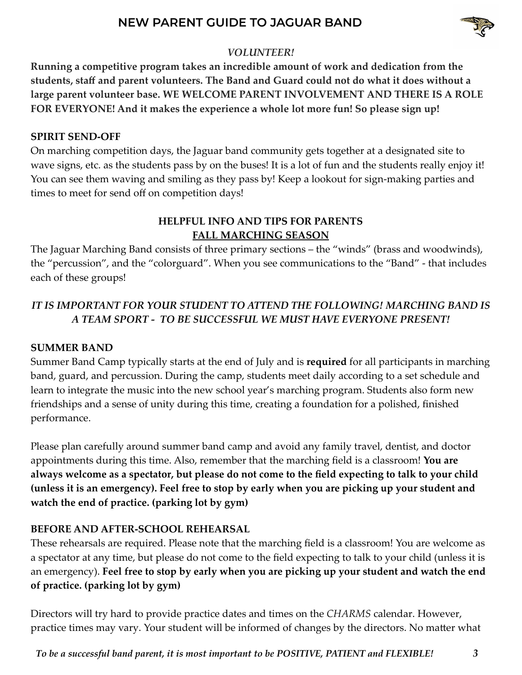

## *VOLUNTEER!*

**Running a competitive program takes an incredible amount of work and dedication from the students, staff and parent volunteers. The Band and Guard could not do what it does without a large parent volunteer base. WE WELCOME PARENT INVOLVEMENT AND THERE IS A ROLE FOR EVERYONE! And it makes the experience a whole lot more fun! So please sign up!**

### **SPIRIT SEND-OFF**

On marching competition days, the Jaguar band community gets together at a designated site to wave signs, etc. as the students pass by on the buses! It is a lot of fun and the students really enjoy it! You can see them waving and smiling as they pass by! Keep a lookout for sign-making parties and times to meet for send off on competition days!

# **HELPFUL INFO AND TIPS FOR PARENTS FALL MARCHING SEASON**

The Jaguar Marching Band consists of three primary sections – the "winds" (brass and woodwinds), the "percussion", and the "colorguard". When you see communications to the "Band" - that includes each of these groups!

# *IT IS IMPORTANT FOR YOUR STUDENT TO ATTEND THE FOLLOWING! MARCHING BAND IS A TEAM SPORT - TO BE SUCCESSFUL WE MUST HAVE EVERYONE PRESENT!*

## **SUMMER BAND**

Summer Band Camp typically starts at the end of July and is **required** for all participants in marching band, guard, and percussion. During the camp, students meet daily according to a set schedule and learn to integrate the music into the new school year's marching program. Students also form new friendships and a sense of unity during this time, creating a foundation for a polished, finished performance.

Please plan carefully around summer band camp and avoid any family travel, dentist, and doctor appointments during this time. Also, remember that the marching field is a classroom! **You are always welcome as a spectator, but please do not come to the field expecting to talk to your child (unless it is an emergency). Feel free to stop by early when you are picking up your student and watch the end of practice. (parking lot by gym)**

# **BEFORE AND AFTER-SCHOOL REHEARSAL**

These rehearsals are required. Please note that the marching field is a classroom! You are welcome as a spectator at any time, but please do not come to the field expecting to talk to your child (unless it is an emergency). **Feel free to stop by early when you are picking up your student and watch the end of practice. (parking lot by gym)**

Directors will try hard to provide practice dates and times on the *CHARMS* calendar. However, practice times may vary. Your student will be informed of changes by the directors. No matter what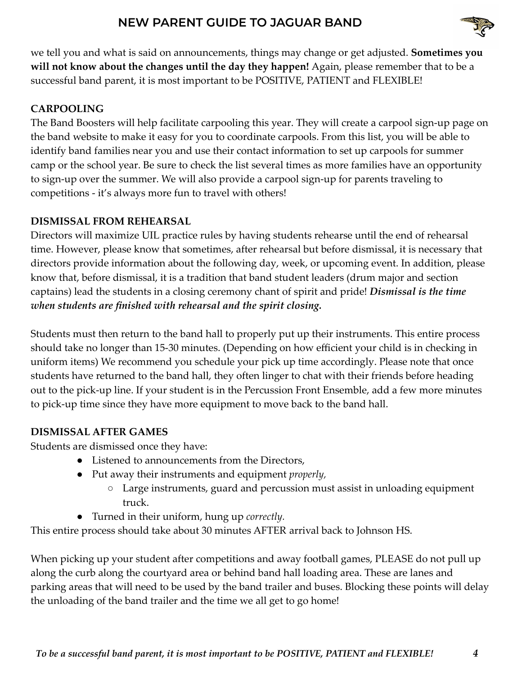

we tell you and what is said on announcements, things may change or get adjusted. **Sometimes you will not know about the changes until the day they happen!** Again, please remember that to be a successful band parent, it is most important to be POSITIVE, PATIENT and FLEXIBLE!

# **CARPOOLING**

The Band Boosters will help facilitate carpooling this year. They will create a carpool sign-up page on the band website to make it easy for you to coordinate carpools. From this list, you will be able to identify band families near you and use their contact information to set up carpools for summer camp or the school year. Be sure to check the list several times as more families have an opportunity to sign-up over the summer. We will also provide a carpool sign-up for parents traveling to competitions - it's always more fun to travel with others!

# **DISMISSAL FROM REHEARSAL**

Directors will maximize UIL practice rules by having students rehearse until the end of rehearsal time. However, please know that sometimes, after rehearsal but before dismissal, it is necessary that directors provide information about the following day, week, or upcoming event. In addition, please know that, before dismissal, it is a tradition that band student leaders (drum major and section captains) lead the students in a closing ceremony chant of spirit and pride! *Dismissal is the time when students are finished with rehearsal and the spirit closing.*

Students must then return to the band hall to properly put up their instruments. This entire process should take no longer than 15-30 minutes. (Depending on how efficient your child is in checking in uniform items) We recommend you schedule your pick up time accordingly. Please note that once students have returned to the band hall, they often linger to chat with their friends before heading out to the pick-up line. If your student is in the Percussion Front Ensemble, add a few more minutes to pick-up time since they have more equipment to move back to the band hall.

# **DISMISSAL AFTER GAMES**

Students are dismissed once they have:

- Listened to announcements from the Directors,
- Put away their instruments and equipment *properly,*
	- Large instruments, guard and percussion must assist in unloading equipment truck.
- Turned in their uniform, hung up *correctly.*

This entire process should take about 30 minutes AFTER arrival back to Johnson HS.

When picking up your student after competitions and away football games, PLEASE do not pull up along the curb along the courtyard area or behind band hall loading area. These are lanes and parking areas that will need to be used by the band trailer and buses. Blocking these points will delay the unloading of the band trailer and the time we all get to go home!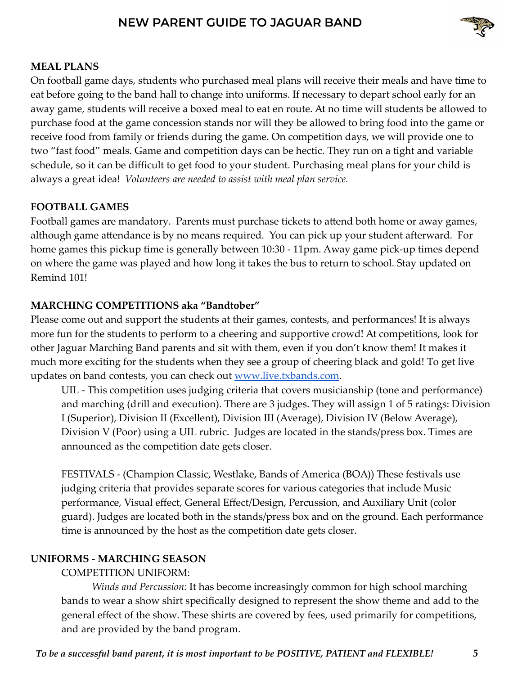

### **MEAL PLANS**

On football game days, students who purchased meal plans will receive their meals and have time to eat before going to the band hall to change into uniforms. If necessary to depart school early for an away game, students will receive a boxed meal to eat en route. At no time will students be allowed to purchase food at the game concession stands nor will they be allowed to bring food into the game or receive food from family or friends during the game. On competition days, we will provide one to two "fast food" meals. Game and competition days can be hectic. They run on a tight and variable schedule, so it can be difficult to get food to your student. Purchasing meal plans for your child is always a great idea! *Volunteers are needed to assist with meal plan service.*

### **FOOTBALL GAMES**

Football games are mandatory. Parents must purchase tickets to attend both home or away games, although game attendance is by no means required. You can pick up your student afterward. For home games this pickup time is generally between 10:30 - 11pm. Away game pick-up times depend on where the game was played and how long it takes the bus to return to school. Stay updated on Remind 101!

### **MARCHING COMPETITIONS aka "Bandtober"**

Please come out and support the students at their games, contests, and performances! It is always more fun for the students to perform to a cheering and supportive crowd! At competitions, look for other Jaguar Marching Band parents and sit with them, even if you don't know them! It makes it much more exciting for the students when they see a group of cheering black and gold! To get live updates on band contests, you can check out [www.live.txbands.com](http://www.live.txbands.com).

UIL - This competition uses judging criteria that covers musicianship (tone and performance) and marching (drill and execution). There are 3 judges. They will assign 1 of 5 ratings: Division I (Superior), Division II (Excellent), Division III (Average), Division IV (Below Average), Division V (Poor) using a UIL rubric. Judges are located in the stands/press box. Times are announced as the competition date gets closer.

FESTIVALS - (Champion Classic, Westlake, Bands of America (BOA)) These festivals use judging criteria that provides separate scores for various categories that include Music performance, Visual effect, General Effect/Design, Percussion, and Auxiliary Unit (color guard). Judges are located both in the stands/press box and on the ground. Each performance time is announced by the host as the competition date gets closer.

### **UNIFORMS - MARCHING SEASON**

### COMPETITION UNIFORM:

*Winds and Percussion:* It has become increasingly common for high school marching bands to wear a show shirt specifically designed to represent the show theme and add to the general effect of the show. These shirts are covered by fees, used primarily for competitions, and are provided by the band program.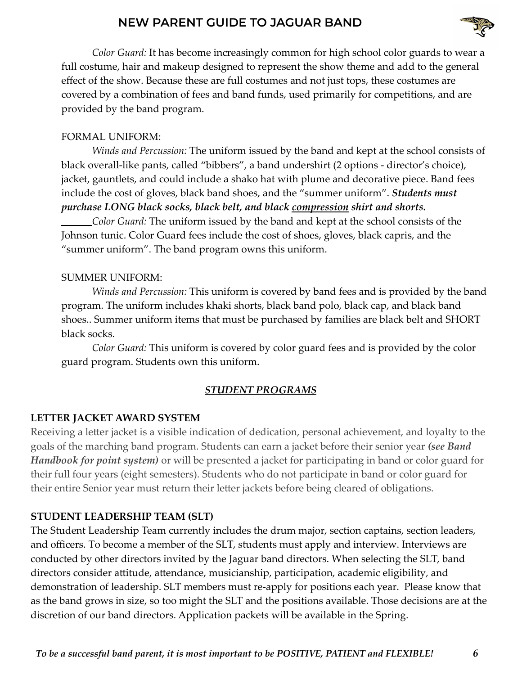

*Color Guard:* It has become increasingly common for high school color guards to wear a full costume, hair and makeup designed to represent the show theme and add to the general effect of the show. Because these are full costumes and not just tops, these costumes are covered by a combination of fees and band funds, used primarily for competitions, and are provided by the band program.

### FORMAL UNIFORM:

*Winds and Percussion:* The uniform issued by the band and kept at the school consists of black overall-like pants, called "bibbers", a band undershirt (2 options - director's choice), jacket, gauntlets, and could include a shako hat with plume and decorative piece. Band fees include the cost of gloves, black band shoes, and the "summer uniform". *Students must purchase LONG black socks, black belt, and black compression shirt and shorts.*

*Color Guard:* The uniform issued by the band and kept at the school consists of the Johnson tunic. Color Guard fees include the cost of shoes, gloves, black capris, and the "summer uniform". The band program owns this uniform.

### SUMMER UNIFORM:

*Winds and Percussion:* This uniform is covered by band fees and is provided by the band program. The uniform includes khaki shorts, black band polo, black cap, and black band shoes.. Summer uniform items that must be purchased by families are black belt and SHORT black socks.

*Color Guard:* This uniform is covered by color guard fees and is provided by the color guard program. Students own this uniform.

## *STUDENT PROGRAMS*

## **LETTER JACKET AWARD SYSTEM**

Receiving a letter jacket is a visible indication of dedication, personal achievement, and loyalty to the goals of the marching band program. Students can earn a jacket before their senior year *(see Band Handbook for point system)* or will be presented a jacket for participating in band or color guard for their full four years (eight semesters). Students who do not participate in band or color guard for their entire Senior year must return their letter jackets before being cleared of obligations.

## **STUDENT LEADERSHIP TEAM (SLT)**

The Student Leadership Team currently includes the drum major, section captains, section leaders, and officers. To become a member of the SLT, students must apply and interview. Interviews are conducted by other directors invited by the Jaguar band directors. When selecting the SLT, band directors consider attitude, attendance, musicianship, participation, academic eligibility, and demonstration of leadership. SLT members must re-apply for positions each year. Please know that as the band grows in size, so too might the SLT and the positions available. Those decisions are at the discretion of our band directors. Application packets will be available in the Spring.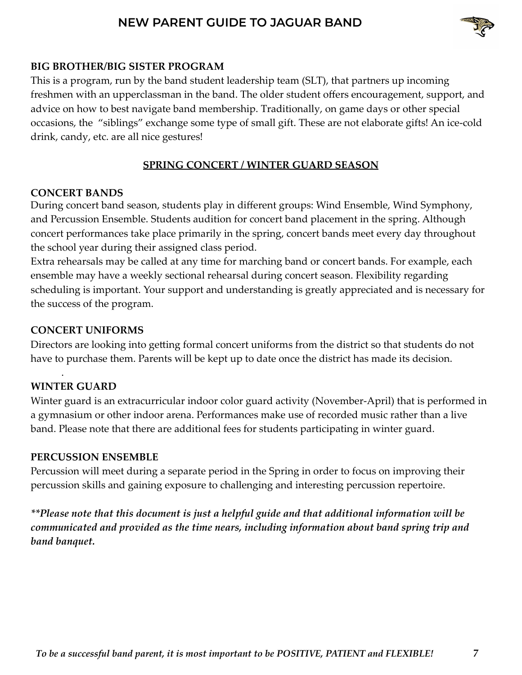

### **BIG BROTHER/BIG SISTER PROGRAM**

This is a program, run by the band student leadership team (SLT), that partners up incoming freshmen with an upperclassman in the band. The older student offers encouragement, support, and advice on how to best navigate band membership. Traditionally, on game days or other special occasions, the "siblings" exchange some type of small gift. These are not elaborate gifts! An ice-cold drink, candy, etc. are all nice gestures!

### **SPRING CONCERT / WINTER GUARD SEASON**

#### **CONCERT BANDS**

During concert band season, students play in different groups: Wind Ensemble, Wind Symphony, and Percussion Ensemble. Students audition for concert band placement in the spring. Although concert performances take place primarily in the spring, concert bands meet every day throughout the school year during their assigned class period.

Extra rehearsals may be called at any time for marching band or concert bands. For example, each ensemble may have a weekly sectional rehearsal during concert season. Flexibility regarding scheduling is important. Your support and understanding is greatly appreciated and is necessary for the success of the program.

### **CONCERT UNIFORMS**

Directors are looking into getting formal concert uniforms from the district so that students do not have to purchase them. Parents will be kept up to date once the district has made its decision.

### **WINTER GUARD**

.

Winter guard is an extracurricular indoor color guard activity (November-April) that is performed in a gymnasium or other indoor arena. Performances make use of recorded music rather than a live band. Please note that there are additional fees for students participating in winter guard.

### **PERCUSSION ENSEMBLE**

Percussion will meet during a separate period in the Spring in order to focus on improving their percussion skills and gaining exposure to challenging and interesting percussion repertoire.

*\*\*Please note that this document is just a helpful guide and that additional information will be communicated and provided as the time nears, including information about band spring trip and band banquet.*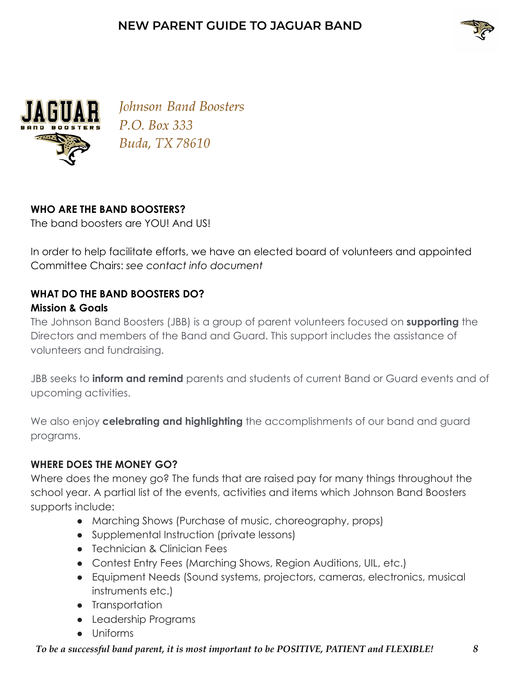



Johnson Band Boosters P.O. Box 333 Buda, TX 78610

## **WHO ARE THE BAND BOOSTERS?**

The band boosters are YOU! And US!

In order to help facilitate efforts, we have an elected board of volunteers and appointed Committee Chairs: *see contact info document*

# **WHAT DO THE BAND BOOSTERS DO? Mission & Goals**

The Johnson Band Boosters (JBB) is a group of parent volunteers focused on **supporting** the Directors and members of the Band and Guard. This support includes the assistance of volunteers and fundraising.

JBB seeks to **inform and remind** parents and students of current Band or Guard events and of upcoming activities.

We also enjoy **celebrating and highlighting** the accomplishments of our band and guard programs.

# **WHERE DOES THE MONEY GO?**

Where does the money go? The funds that are raised pay for many things throughout the school year. A partial list of the events, activities and items which Johnson Band Boosters supports include:

- Marching Shows (Purchase of music, choreography, props)
- Supplemental Instruction (private lessons)
- Technician & Clinician Fees
- Contest Entry Fees (Marching Shows, Region Auditions, UIL, etc.)
- Equipment Needs (Sound systems, projectors, cameras, electronics, musical instruments etc.)
- Transportation
- Leadership Programs
- Uniforms

## *To be a successful band parent, it is most important to be POSITIVE, PATIENT and FLEXIBLE! 8*